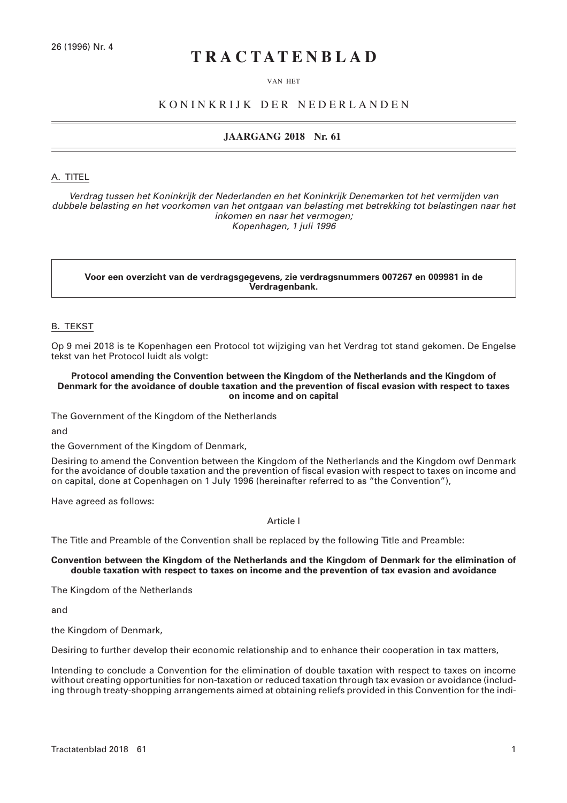# **TRACTATENBLAD**

#### VAN HET

# KONINKRIJK DER NEDERLANDEN

# **JAARGANG 2018 Nr. 61**

#### A. TITEL

*Verdrag tussen het Koninkrijk der Nederlanden en het Koninkrijk Denemarken tot het vermijden van dubbele belasting en het voorkomen van het ontgaan van belasting met betrekking tot belastingen naar het inkomen en naar het vermogen; Kopenhagen, 1 juli 1996*

**Voor een overzicht van de verdragsgegevens, zie verdragsnummers 007267 en 009981 in de Verdragenbank.**

#### B. TEKST

Op 9 mei 2018 is te Kopenhagen een Protocol tot wijziging van het Verdrag tot stand gekomen. De Engelse tekst van het Protocol luidt als volgt:

#### **Protocol amending the Convention between the Kingdom of the Netherlands and the Kingdom of Denmark for the avoidance of double taxation and the prevention of fiscal evasion with respect to taxes on income and on capital**

The Government of the Kingdom of the Netherlands

and

the Government of the Kingdom of Denmark,

Desiring to amend the Convention between the Kingdom of the Netherlands and the Kingdom owf Denmark for the avoidance of double taxation and the prevention of fiscal evasion with respect to taxes on income and on capital, done at Copenhagen on 1 July 1996 (hereinafter referred to as "the Convention"),

Have agreed as follows:

# Article I

The Title and Preamble of the Convention shall be replaced by the following Title and Preamble:

#### **Convention between the Kingdom of the Netherlands and the Kingdom of Denmark for the elimination of double taxation with respect to taxes on income and the prevention of tax evasion and avoidance**

The Kingdom of the Netherlands

and

the Kingdom of Denmark,

Desiring to further develop their economic relationship and to enhance their cooperation in tax matters,

Intending to conclude a Convention for the elimination of double taxation with respect to taxes on income without creating opportunities for non-taxation or reduced taxation through tax evasion or avoidance (including through treaty-shopping arrangements aimed at obtaining reliefs provided in this Convention for the indi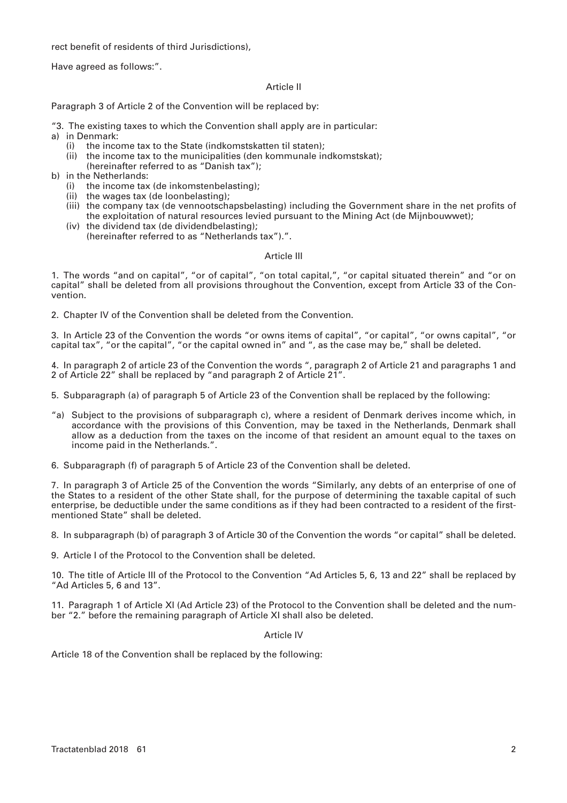rect benefit of residents of third Jurisdictions),

Have agreed as follows:".

## Article II

Paragraph 3 of Article 2 of the Convention will be replaced by:

"3. The existing taxes to which the Convention shall apply are in particular:

- a) in Denmark:
	- (i) the income tax to the State (indkomstskatten til staten);
	- (ii) the income tax to the municipalities (den kommunale indkomstskat);
	- (hereinafter referred to as "Danish tax");
- b) in the Netherlands:
	- (i) the income tax (de inkomstenbelasting);
	- (ii) the wages tax (de loonbelasting);
	- (iii) the company tax (de vennootschapsbelasting) including the Government share in the net profits of the exploitation of natural resources levied pursuant to the Mining Act (de Mijnbouwwet);
	- (iv) the dividend tax (de dividendbelasting); (hereinafter referred to as "Netherlands tax").".

#### Article III

1. The words "and on capital", "or of capital", "on total capital,", "or capital situated therein" and "or on capital" shall be deleted from all provisions throughout the Convention, except from Article 33 of the Convention.

2. Chapter IV of the Convention shall be deleted from the Convention.

3. In Article 23 of the Convention the words "or owns items of capital", "or capital", "or owns capital", "or capital tax", "or the capital", "or the capital owned in" and ", as the case may be," shall be deleted.

4. In paragraph 2 of article 23 of the Convention the words ", paragraph 2 of Article 21 and paragraphs 1 and 2 of Article 22" shall be replaced by "and paragraph 2 of Article 21".

5. Subparagraph (a) of paragraph 5 of Article 23 of the Convention shall be replaced by the following:

- "a) Subject to the provisions of subparagraph c), where a resident of Denmark derives income which, in accordance with the provisions of this Convention, may be taxed in the Netherlands, Denmark shall allow as a deduction from the taxes on the income of that resident an amount equal to the taxes on income paid in the Netherlands.".
- 6. Subparagraph (f) of paragraph 5 of Article 23 of the Convention shall be deleted.

7. In paragraph 3 of Article 25 of the Convention the words "Similarly, any debts of an enterprise of one of the States to a resident of the other State shall, for the purpose of determining the taxable capital of such enterprise, be deductible under the same conditions as if they had been contracted to a resident of the firstmentioned State" shall be deleted.

8. In subparagraph (b) of paragraph 3 of Article 30 of the Convention the words "or capital" shall be deleted.

9. Article I of the Protocol to the Convention shall be deleted.

10. The title of Article III of the Protocol to the Convention "Ad Articles 5, 6, 13 and 22" shall be replaced by "Ad Articles 5, 6 and 13".

11. Paragraph 1 of Article XI (Ad Article 23) of the Protocol to the Convention shall be deleted and the number "2." before the remaining paragraph of Article XI shall also be deleted.

#### Article IV

Article 18 of the Convention shall be replaced by the following: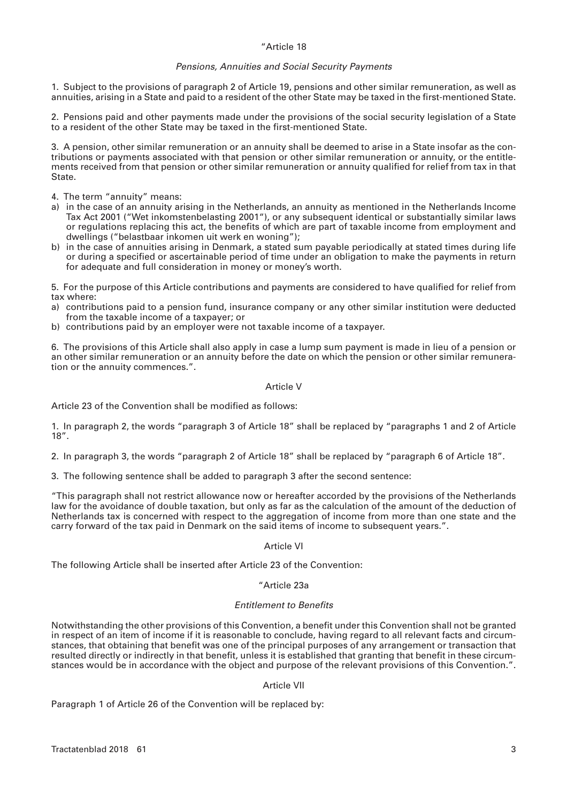# "Article 18

#### *Pensions, Annuities and Social Security Payments*

1. Subject to the provisions of paragraph 2 of Article 19, pensions and other similar remuneration, as well as annuities, arising in a State and paid to a resident of the other State may be taxed in the first-mentioned State.

2. Pensions paid and other payments made under the provisions of the social security legislation of a State to a resident of the other State may be taxed in the first-mentioned State.

3. A pension, other similar remuneration or an annuity shall be deemed to arise in a State insofar as the contributions or payments associated with that pension or other similar remuneration or annuity, or the entitlements received from that pension or other similar remuneration or annuity qualified for relief from tax in that State.

4. The term "annuity" means:

- a) in the case of an annuity arising in the Netherlands, an annuity as mentioned in the Netherlands Income Tax Act 2001 ("Wet inkomstenbelasting 2001"), or any subsequent identical or substantially similar laws or regulations replacing this act, the benefits of which are part of taxable income from employment and dwellings ("belastbaar inkomen uit werk en woning");
- b) in the case of annuities arising in Denmark, a stated sum payable periodically at stated times during life or during a specified or ascertainable period of time under an obligation to make the payments in return for adequate and full consideration in money or money's worth.

5. For the purpose of this Article contributions and payments are considered to have qualified for relief from tax where:

- a) contributions paid to a pension fund, insurance company or any other similar institution were deducted from the taxable income of a taxpayer; or
- b) contributions paid by an employer were not taxable income of a taxpayer.

6. The provisions of this Article shall also apply in case a lump sum payment is made in lieu of a pension or an other similar remuneration or an annuity before the date on which the pension or other similar remuneration or the annuity commences.".

#### Article V

Article 23 of the Convention shall be modified as follows:

1. In paragraph 2, the words "paragraph 3 of Article 18" shall be replaced by "paragraphs 1 and 2 of Article 18".

2. In paragraph 3, the words "paragraph 2 of Article 18" shall be replaced by "paragraph 6 of Article 18".

3. The following sentence shall be added to paragraph 3 after the second sentence:

"This paragraph shall not restrict allowance now or hereafter accorded by the provisions of the Netherlands law for the avoidance of double taxation, but only as far as the calculation of the amount of the deduction of Netherlands tax is concerned with respect to the aggregation of income from more than one state and the carry forward of the tax paid in Denmark on the said items of income to subsequent years.".

# Article VI

The following Article shall be inserted after Article 23 of the Convention:

#### "Article 23a

#### *Entitlement to Benefits*

Notwithstanding the other provisions of this Convention, a benefit under this Convention shall not be granted in respect of an item of income if it is reasonable to conclude, having regard to all relevant facts and circumstances, that obtaining that benefit was one of the principal purposes of any arrangement or transaction that resulted directly or indirectly in that benefit, unless it is established that granting that benefit in these circumstances would be in accordance with the object and purpose of the relevant provisions of this Convention.".

#### Article VII

Paragraph 1 of Article 26 of the Convention will be replaced by: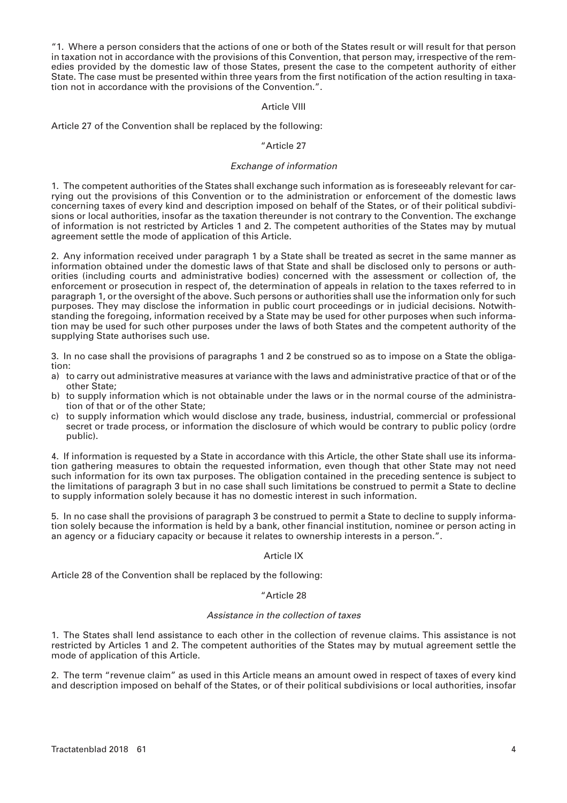"1. Where a person considers that the actions of one or both of the States result or will result for that person in taxation not in accordance with the provisions of this Convention, that person may, irrespective of the remedies provided by the domestic law of those States, present the case to the competent authority of either State. The case must be presented within three years from the first notification of the action resulting in taxation not in accordance with the provisions of the Convention.".

#### Article VIII

Article 27 of the Convention shall be replaced by the following:

## "Article 27

## *Exchange of information*

1. The competent authorities of the States shall exchange such information as is foreseeably relevant for carrying out the provisions of this Convention or to the administration or enforcement of the domestic laws concerning taxes of every kind and description imposed on behalf of the States, or of their political subdivisions or local authorities, insofar as the taxation thereunder is not contrary to the Convention. The exchange of information is not restricted by Articles 1 and 2. The competent authorities of the States may by mutual agreement settle the mode of application of this Article.

2. Any information received under paragraph 1 by a State shall be treated as secret in the same manner as information obtained under the domestic laws of that State and shall be disclosed only to persons or authorities (including courts and administrative bodies) concerned with the assessment or collection of, the enforcement or prosecution in respect of, the determination of appeals in relation to the taxes referred to in paragraph 1, or the oversight of the above. Such persons or authorities shall use the information only for such purposes. They may disclose the information in public court proceedings or in judicial decisions. Notwithstanding the foregoing, information received by a State may be used for other purposes when such information may be used for such other purposes under the laws of both States and the competent authority of the supplying State authorises such use.

3. In no case shall the provisions of paragraphs 1 and 2 be construed so as to impose on a State the obligation:

- a) to carry out administrative measures at variance with the laws and administrative practice of that or of the other State;
- b) to supply information which is not obtainable under the laws or in the normal course of the administration of that or of the other State;
- c) to supply information which would disclose any trade, business, industrial, commercial or professional secret or trade process, or information the disclosure of which would be contrary to public policy (ordre public).

4. If information is requested by a State in accordance with this Article, the other State shall use its information gathering measures to obtain the requested information, even though that other State may not need such information for its own tax purposes. The obligation contained in the preceding sentence is subject to the limitations of paragraph 3 but in no case shall such limitations be construed to permit a State to decline to supply information solely because it has no domestic interest in such information.

5. In no case shall the provisions of paragraph 3 be construed to permit a State to decline to supply information solely because the information is held by a bank, other financial institution, nominee or person acting in an agency or a fiduciary capacity or because it relates to ownership interests in a person.".

# Article IX

Article 28 of the Convention shall be replaced by the following:

# "Article 28

#### *Assistance in the collection of taxes*

1. The States shall lend assistance to each other in the collection of revenue claims. This assistance is not restricted by Articles 1 and 2. The competent authorities of the States may by mutual agreement settle the mode of application of this Article.

2. The term "revenue claim" as used in this Article means an amount owed in respect of taxes of every kind and description imposed on behalf of the States, or of their political subdivisions or local authorities, insofar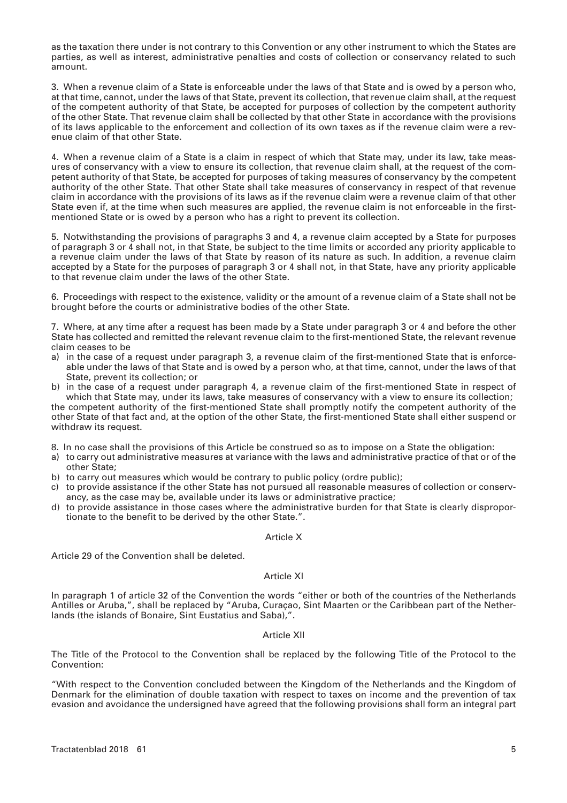as the taxation there under is not contrary to this Convention or any other instrument to which the States are parties, as well as interest, administrative penalties and costs of collection or conservancy related to such amount.

3. When a revenue claim of a State is enforceable under the laws of that State and is owed by a person who, at that time, cannot, under the laws of that State, prevent its collection, that revenue claim shall, at the request of the competent authority of that State, be accepted for purposes of collection by the competent authority of the other State. That revenue claim shall be collected by that other State in accordance with the provisions of its laws applicable to the enforcement and collection of its own taxes as if the revenue claim were a revenue claim of that other State.

4. When a revenue claim of a State is a claim in respect of which that State may, under its law, take measures of conservancy with a view to ensure its collection, that revenue claim shall, at the request of the competent authority of that State, be accepted for purposes of taking measures of conservancy by the competent authority of the other State. That other State shall take measures of conservancy in respect of that revenue claim in accordance with the provisions of its laws as if the revenue claim were a revenue claim of that other State even if, at the time when such measures are applied, the revenue claim is not enforceable in the firstmentioned State or is owed by a person who has a right to prevent its collection.

5. Notwithstanding the provisions of paragraphs 3 and 4, a revenue claim accepted by a State for purposes of paragraph 3 or 4 shall not, in that State, be subject to the time limits or accorded any priority applicable to a revenue claim under the laws of that State by reason of its nature as such. In addition, a revenue claim accepted by a State for the purposes of paragraph 3 or 4 shall not, in that State, have any priority applicable to that revenue claim under the laws of the other State.

6. Proceedings with respect to the existence, validity or the amount of a revenue claim of a State shall not be brought before the courts or administrative bodies of the other State.

7. Where, at any time after a request has been made by a State under paragraph 3 or 4 and before the other State has collected and remitted the relevant revenue claim to the first-mentioned State, the relevant revenue claim ceases to be

- a) in the case of a request under paragraph 3, a revenue claim of the first-mentioned State that is enforceable under the laws of that State and is owed by a person who, at that time, cannot, under the laws of that State, prevent its collection; or
- b) in the case of a request under paragraph 4, a revenue claim of the first-mentioned State in respect of which that State may, under its laws, take measures of conservancy with a view to ensure its collection; the competent authority of the first-mentioned State shall promptly notify the competent authority of the other State of that fact and, at the option of the other State, the first-mentioned State shall either suspend or withdraw its request.
- 8. In no case shall the provisions of this Article be construed so as to impose on a State the obligation:
- a) to carry out administrative measures at variance with the laws and administrative practice of that or of the other State;
- b) to carry out measures which would be contrary to public policy (ordre public);
- c) to provide assistance if the other State has not pursued all reasonable measures of collection or conservancy, as the case may be, available under its laws or administrative practice;
- d) to provide assistance in those cases where the administrative burden for that State is clearly disproportionate to the benefit to be derived by the other State.".

#### Article X

Article 29 of the Convention shall be deleted.

# Article XI

In paragraph 1 of article 32 of the Convention the words "either or both of the countries of the Netherlands Antilles or Aruba,", shall be replaced by "Aruba, Curaçao, Sint Maarten or the Caribbean part of the Netherlands (the islands of Bonaire, Sint Eustatius and Saba),".

#### Article XII

The Title of the Protocol to the Convention shall be replaced by the following Title of the Protocol to the Convention:

"With respect to the Convention concluded between the Kingdom of the Netherlands and the Kingdom of Denmark for the elimination of double taxation with respect to taxes on income and the prevention of tax evasion and avoidance the undersigned have agreed that the following provisions shall form an integral part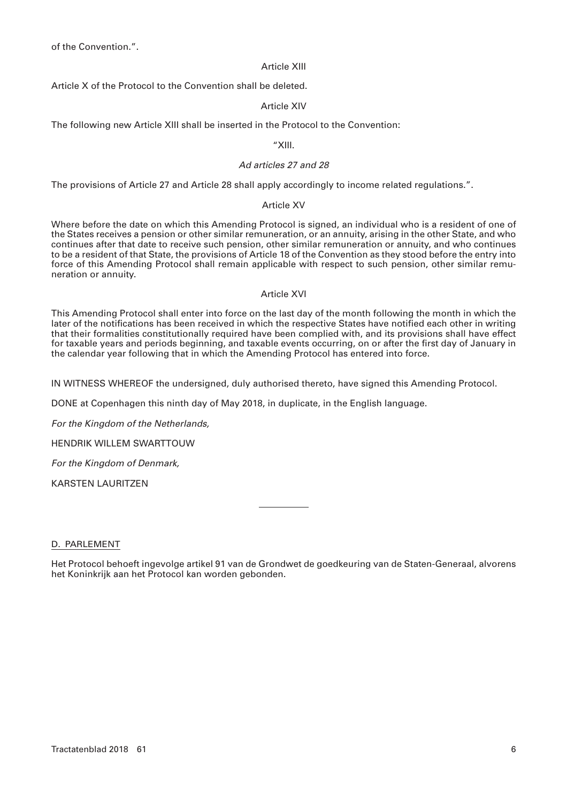of the Convention.".

# Article XIII

Article X of the Protocol to the Convention shall be deleted.

# Article XIV

The following new Article XIII shall be inserted in the Protocol to the Convention:

# "XIII.

# *Ad articles 27 and 28*

The provisions of Article 27 and Article 28 shall apply accordingly to income related regulations.".

# Article XV

Where before the date on which this Amending Protocol is signed, an individual who is a resident of one of the States receives a pension or other similar remuneration, or an annuity, arising in the other State, and who continues after that date to receive such pension, other similar remuneration or annuity, and who continues to be a resident of that State, the provisions of Article 18 of the Convention as they stood before the entry into force of this Amending Protocol shall remain applicable with respect to such pension, other similar remuneration or annuity.

# Article XVI

This Amending Protocol shall enter into force on the last day of the month following the month in which the later of the notifications has been received in which the respective States have notified each other in writing that their formalities constitutionally required have been complied with, and its provisions shall have effect for taxable years and periods beginning, and taxable events occurring, on or after the first day of January in the calendar year following that in which the Amending Protocol has entered into force.

IN WITNESS WHEREOF the undersigned, duly authorised thereto, have signed this Amending Protocol.

DONE at Copenhagen this ninth day of May 2018, in duplicate, in the English language.

*For the Kingdom of the Netherlands,*

HENDRIK WILLEM SWARTTOUW

*For the Kingdom of Denmark,*

KARSTEN LAURITZEN

# D. PARLEMENT

Het Protocol behoeft ingevolge artikel 91 van de Grondwet de goedkeuring van de Staten-Generaal, alvorens het Koninkrijk aan het Protocol kan worden gebonden.